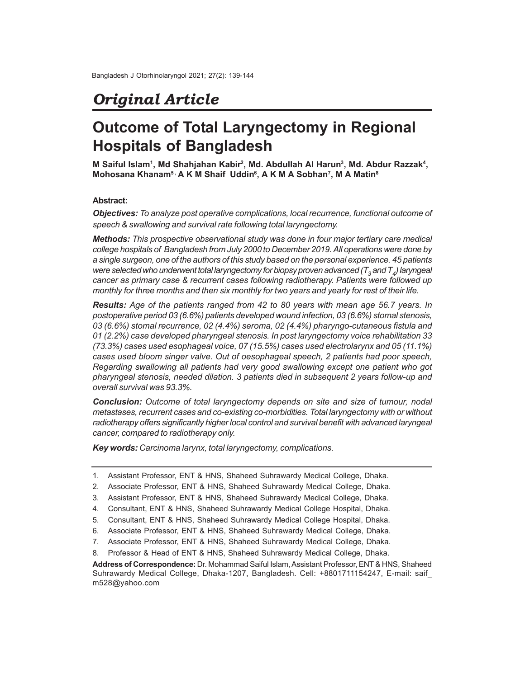## *Original Article*

# **Outcome of Total Laryngectomy in Regional Hospitals of Bangladesh**

**M** Saiful Islam<sup>1</sup>, Md Shahjahan Kabir<sup>2</sup>, Md. Abdullah Al Harun<sup>3</sup>, Md. Abdur Razzak<sup>4</sup>, **Mohosana Khanam5 , A K M Shaif Uddin<sup>6</sup> , A K M A Sobhan<sup>7</sup> , M A Matin<sup>8</sup>**

## **Abstract:**

*Objectives: To analyze post operative complications, local recurrence, functional outcome of speech & swallowing and survival rate following total laryngectomy.*

*Methods: This prospective observational study was done in four major tertiary care medical college hospitals of Bangladesh from July 2000 to December 2019. All operations were done by a single surgeon, one of the authors of this study based on the personal experience. 45 patients were selected who underwent total laryngectomy for biopsy proven advanced (T<sup>3</sup> and T<sup>4</sup> ) laryngeal cancer as primary case & recurrent cases following radiotherapy. Patients were followed up monthly for three months and then six monthly for two years and yearly for rest of their life.*

*Results: Age of the patients ranged from 42 to 80 years with mean age 56.7 years. In postoperative period 03 (6.6%) patients developed wound infection, 03 (6.6%) stomal stenosis, 03 (6.6%) stomal recurrence, 02 (4.4%) seroma, 02 (4.4%) pharyngo-cutaneous fistula and 01 (2.2%) case developed pharyngeal stenosis. In post laryngectomy voice rehabilitation 33 (73.3%) cases used esophageal voice, 07 (15.5%) cases used electrolarynx and 05 (11.1%) cases used bloom singer valve. Out of oesophageal speech, 2 patients had poor speech, Regarding swallowing all patients had very good swallowing except one patient who got pharyngeal stenosis, needed dilation. 3 patients died in subsequent 2 years follow-up and overall survival was 93.3%.*

*Conclusion: Outcome of total laryngectomy depends on site and size of tumour, nodal metastases, recurrent cases and co-existing co-morbidities. Total laryngectomy with or without radiotherapy offers significantly higher local control and survival benefit with advanced laryngeal cancer, compared to radiotherapy only.*

*Key words: Carcinoma larynx, total laryngectomy, complications.*

- 1. Assistant Professor, ENT & HNS, Shaheed Suhrawardy Medical College, Dhaka.
- 2. Associate Professor, ENT & HNS, Shaheed Suhrawardy Medical College, Dhaka.

- 6. Associate Professor, ENT & HNS, Shaheed Suhrawardy Medical College, Dhaka.
- 7. Associate Professor, ENT & HNS, Shaheed Suhrawardy Medical College, Dhaka.

<sup>3.</sup> Assistant Professor, ENT & HNS, Shaheed Suhrawardy Medical College, Dhaka.

<sup>4.</sup> Consultant, ENT & HNS, Shaheed Suhrawardy Medical College Hospital, Dhaka.

<sup>5.</sup> Consultant, ENT & HNS, Shaheed Suhrawardy Medical College Hospital, Dhaka.

<sup>8.</sup> Professor & Head of ENT & HNS, Shaheed Suhrawardy Medical College, Dhaka.

**Address of Correspondence:** Dr. Mohammad Saiful Islam, Assistant Professor, ENT & HNS, Shaheed Suhrawardy Medical College, Dhaka-1207, Bangladesh. Cell: +8801711154247, E-mail: saif\_ m528@yahoo.com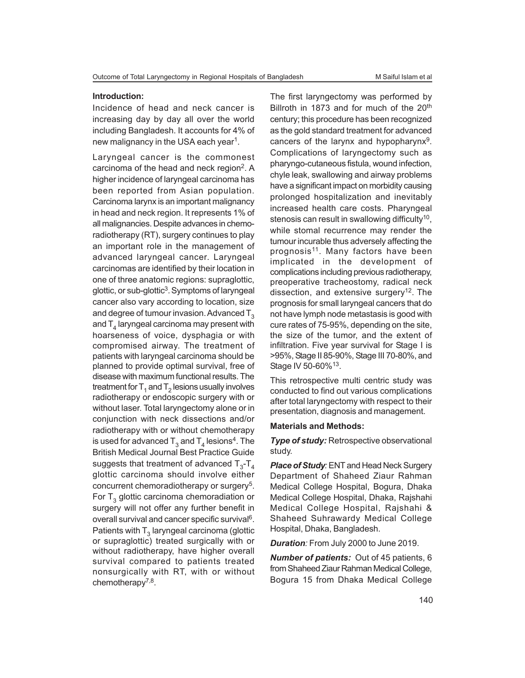#### **Introduction:**

Incidence of head and neck cancer is increasing day by day all over the world including Bangladesh. It accounts for 4% of new malignancy in the USA each year $^{\rm 1}.$ 

Laryngeal cancer is the commonest carcinoma of the head and neck region $2$ . A higher incidence of laryngeal carcinoma has been reported from Asian population. Carcinoma larynx is an important malignancy in head and neck region. It represents 1% of all malignancies. Despite advances in chemoradiotherapy (RT), surgery continues to play an important role in the management of advanced laryngeal cancer. Laryngeal carcinomas are identified by their location in one of three anatomic regions: supraglottic, glottic, or sub-glottic<sup>3</sup>. Symptoms of laryngeal cancer also vary according to location, size and degree of tumour invasion. Advanced  $T<sub>3</sub>$ and  ${\sf T}_4$  laryngeal carcinoma may present with hoarseness of voice, dysphagia or with compromised airway. The treatment of patients with laryngeal carcinoma should be planned to provide optimal survival, free of disease with maximum functional results. The treatment for  $\mathsf{T}_{\mathsf{1}}$  and  $\mathsf{T}_{\mathsf{2}}$  lesions usually involves radiotherapy or endoscopic surgery with or without laser. Total laryngectomy alone or in conjunction with neck dissections and/or radiotherapy with or without chemotherapy is used for advanced  ${\mathsf T}_3$  and  ${\mathsf T}_4$  lesions<sup>4</sup>. The British Medical Journal Best Practice Guide suggests that treatment of advanced  $\mathsf{T}_{3}\text{-}\mathsf{T}_{4}$ glottic carcinoma should involve either concurrent chemoradiotherapy or surgery<sup>5</sup>. For  ${\sf T}_3$  glottic carcinoma chemoradiation or surgery will not offer any further benefit in overall survival and cancer specific survival<sup>6</sup>. Patients with  $\mathsf{T}_3$  laryngeal carcinoma (glottic or supraglottic) treated surgically with or without radiotherapy, have higher overall survival compared to patients treated nonsurgically with RT, with or without chemotherapy<sup>7,8</sup>.

The first laryngectomy was performed by Billroth in 1873 and for much of the 20<sup>th</sup> century; this procedure has been recognized as the gold standard treatment for advanced cancers of the larynx and hypopharynx<sup>9</sup>. Complications of laryngectomy such as pharyngo-cutaneous fistula, wound infection, chyle leak, swallowing and airway problems have a significant impact on morbidity causing prolonged hospitalization and inevitably increased health care costs. Pharyngeal stenosis can result in swallowing difficulty $^{10},$ while stomal recurrence may render the tumour incurable thus adversely affecting the prognosis<sup>11</sup>. Many factors have been implicated in the development of complications including previous radiotherapy, preoperative tracheostomy, radical neck dissection, and extensive surgery<sup>12</sup>. The prognosis for small laryngeal cancers that do not have lymph node metastasis is good with cure rates of 75-95%, depending on the site, the size of the tumor, and the extent of infiltration. Five year survival for Stage I is >95%, Stage II 85-90%, Stage III 70-80%, and Stage IV 50-60%<sup>13</sup>.

This retrospective multi centric study was conducted to find out various complications after total laryngectomy with respect to their presentation, diagnosis and management.

### **Materials and Methods:**

*Type of study:* Retrospective observational study.

*Place of Study:* ENT and Head Neck Surgery Department of Shaheed Ziaur Rahman Medical College Hospital, Bogura, Dhaka Medical College Hospital, Dhaka, Rajshahi Medical College Hospital, Rajshahi & Shaheed Suhrawardy Medical College Hospital, Dhaka, Bangladesh.

*Duration:* From July 2000 to June 2019.

*Number of patients:* Out of 45 patients, 6 from Shaheed Ziaur Rahman Medical College, Bogura 15 from Dhaka Medical College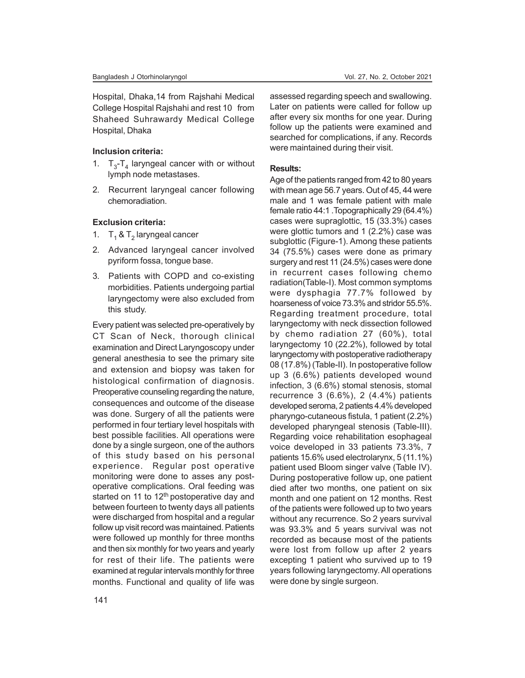Hospital, Dhaka,14 from Rajshahi Medical College Hospital Rajshahi and rest 10 from Shaheed Suhrawardy Medical College Hospital, Dhaka

#### **Inclusion criteria:**

- 1.  $T_3$ - $T_4$  laryngeal cancer with or without lymph node metastases.
- 2. Recurrent laryngeal cancer following chemoradiation.

## **Exclusion criteria:**

- 1.  $T_1$  &  $T_2$  laryngeal cancer
- 2. Advanced laryngeal cancer involved pyriform fossa, tongue base.
- 3. Patients with COPD and co-existing morbidities. Patients undergoing partial laryngectomy were also excluded from this study.

Every patient was selected pre-operatively by CT Scan of Neck, thorough clinical examination and Direct Laryngoscopy under general anesthesia to see the primary site and extension and biopsy was taken for histological confirmation of diagnosis. Preoperative counseling regarding the nature, consequences and outcome of the disease was done. Surgery of all the patients were performed in four tertiary level hospitals with best possible facilities. All operations were done by a single surgeon, one of the authors of this study based on his personal experience. Regular post operative monitoring were done to asses any postoperative complications. Oral feeding was started on 11 to  $12<sup>th</sup>$  postoperative day and between fourteen to twenty days all patients were discharged from hospital and a regular follow up visit record was maintained. Patients were followed up monthly for three months and then six monthly for two years and yearly for rest of their life. The patients were examined at regular intervals monthly for three months. Functional and quality of life was

assessed regarding speech and swallowing. Later on patients were called for follow up after every six months for one year. During follow up the patients were examined and searched for complications, if any. Records were maintained during their visit.

#### **Results:**

Age of the patients ranged from 42 to 80 years with mean age 56.7 years. Out of 45, 44 were male and 1 was female patient with male female ratio 44:1 .Topographically 29 (64.4%) cases were supraglottic, 15 (33.3%) cases were glottic tumors and 1 (2.2%) case was subglottic (Figure-1). Among these patients 34 (75.5%) cases were done as primary surgery and rest 11 (24.5%) cases were done in recurrent cases following chemo radiation(Table-I). Most common symptoms were dysphagia 77.7% followed by hoarseness of voice 73.3% and stridor 55.5%. Regarding treatment procedure, total laryngectomy with neck dissection followed by chemo radiation 27 (60%), total laryngectomy 10 (22.2%), followed by total laryngectomy with postoperative radiotherapy 08 (17.8%) (Table-II). In postoperative follow up 3 (6.6%) patients developed wound infection, 3 (6.6%) stomal stenosis, stomal recurrence 3 (6.6%), 2 (4.4%) patients developed seroma, 2 patients 4.4% developed pharyngo-cutaneous fistula, 1 patient (2.2%) developed pharyngeal stenosis (Table-III). Regarding voice rehabilitation esophageal voice developed in 33 patients 73.3%, 7 patients 15.6% used electrolarynx, 5 (11.1%) patient used Bloom singer valve (Table IV). During postoperative follow up, one patient died after two months, one patient on six month and one patient on 12 months. Rest of the patients were followed up to two years without any recurrence. So 2 years survival was 93.3% and 5 years survival was not recorded as because most of the patients were lost from follow up after 2 years excepting 1 patient who survived up to 19 years following laryngectomy. All operations were done by single surgeon.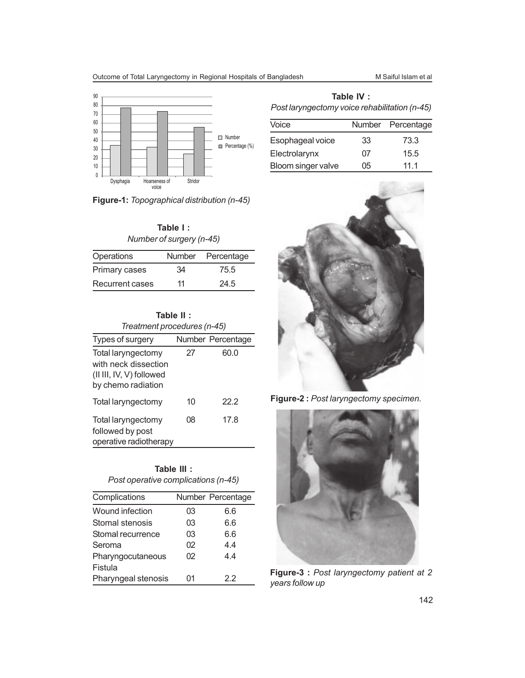

**Figure-1:** *Topographical distribution (n-45)*

| Table I :                |
|--------------------------|
| Number of surgery (n-45) |

| Operations      |    | Number Percentage |
|-----------------|----|-------------------|
| Primary cases   | 34 | 75.5              |
| Recurrent cases | 11 | 24.5              |

| Table II :                                                             |    |                   |  |
|------------------------------------------------------------------------|----|-------------------|--|
| Treatment procedures (n-45)                                            |    |                   |  |
| Types of surgery                                                       |    | Number Percentage |  |
| Total laryngectomy                                                     | 27 | 60.0              |  |
| with neck dissection<br>(II III, IV, V) followed<br>by chemo radiation |    |                   |  |
| Total laryngectomy                                                     | 10 | 22.2              |  |
| Total laryngectomy                                                     | 08 | 17.8              |  |
| followed by post<br>operative radiotherapy                             |    |                   |  |

| Table III :                         |  |
|-------------------------------------|--|
| Post operative complications (n-45) |  |

| Complications       |    | Number Percentage |
|---------------------|----|-------------------|
| Wound infection     | 03 | 6.6               |
| Stomal stenosis     | 03 | 6.6               |
| Stomal recurrence   | 03 | 6.6               |
| Seroma              | 02 | 4.4               |
| Pharyngocutaneous   | 02 | 4.4               |
| Fistula             |    |                   |
| Pharyngeal stenosis | 01 | 22                |

| Table IV :                                    |
|-----------------------------------------------|
| Post laryngectomy voice rehabilitation (n-45) |

| Voice              |    | Number Percentage |
|--------------------|----|-------------------|
| Esophageal voice   | 33 | 73.3              |
| Electrolarynx      | 07 | 15.5              |
| Bloom singer valve | 05 | 11 1              |



**Figure-2 :** *Post laryngectomy specimen.*



**Figure-3 :** *Post laryngectomy patient at 2 years follow up*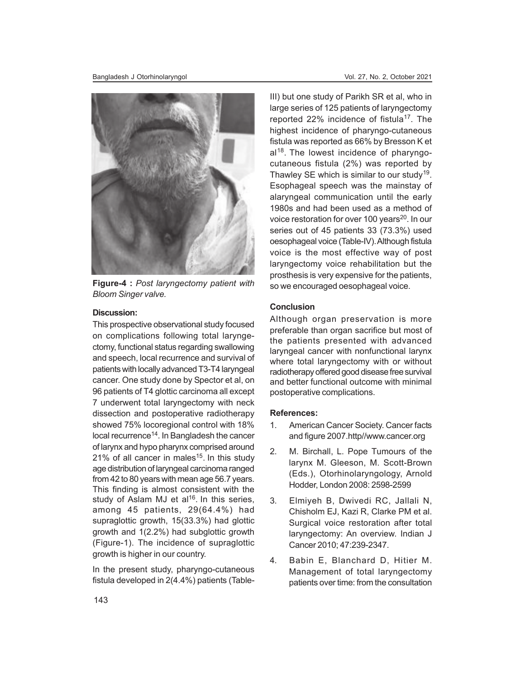

**Figure-4 :** *Post laryngectomy patient with Bloom Singer valve.*

## **Discussion:**

This prospective observational study focused on complications following total laryngectomy, functional status regarding swallowing and speech, local recurrence and survival of patients with locally advanced T3-T4 laryngeal cancer. One study done by Spector et al, on 96 patients of T4 glottic carcinoma all except 7 underwent total laryngectomy with neck dissection and postoperative radiotherapy showed 75% locoregional control with 18% local recurrence<sup>14</sup>. In Bangladesh the cancer of larynx and hypo pharynx comprised around 21% of all cancer in males<sup>15</sup>. In this study age distribution of laryngeal carcinoma ranged from 42 to 80 years with mean age 56.7 years. This finding is almost consistent with the study of Aslam MJ et al<sup>16</sup>. In this series, among 45 patients, 29(64.4%) had supraglottic growth, 15(33.3%) had glottic growth and 1(2.2%) had subglottic growth (Figure-1). The incidence of supraglottic growth is higher in our country.

In the present study, pharyngo-cutaneous fistula developed in 2(4.4%) patients (TableIII) but one study of Parikh SR et al, who in large series of 125 patients of laryngectomy reported 22% incidence of fistula<sup>17</sup>. The highest incidence of pharyngo-cutaneous fistula was reported as 66% by Bresson K et al<sup>18</sup>. The lowest incidence of pharyngocutaneous fistula (2%) was reported by Thawley SE which is similar to our study<sup>19</sup>. Esophageal speech was the mainstay of alaryngeal communication until the early 1980s and had been used as a method of voice restoration for over 100 years<sup>20</sup>. In our series out of 45 patients 33 (73.3%) used oesophageal voice (Table-IV). Although fistula voice is the most effective way of post laryngectomy voice rehabilitation but the prosthesis is very expensive for the patients, so we encouraged oesophageal voice.

## **Conclusion**

Although organ preservation is more preferable than organ sacrifice but most of the patients presented with advanced laryngeal cancer with nonfunctional larynx where total laryngectomy with or without radiotherapy offered good disease free survival and better functional outcome with minimal postoperative complications.

#### **References:**

- 1. American Cancer Society. Cancer facts and figure 2007.http//www.cancer.org
- 2. M. Birchall, L. Pope Tumours of the larynx M. Gleeson, M. Scott-Brown (Eds.), Otorhinolaryngology, Arnold Hodder, London 2008: 2598-2599
- 3. Elmiyeh B, Dwivedi RC, Jallali N, Chisholm EJ, Kazi R, Clarke PM et al. Surgical voice restoration after total laryngectomy: An overview. Indian J Cancer 2010; 47:239-2347.
- 4. Babin E, Blanchard D, Hitier M. Management of total laryngectomy patients over time: from the consultation